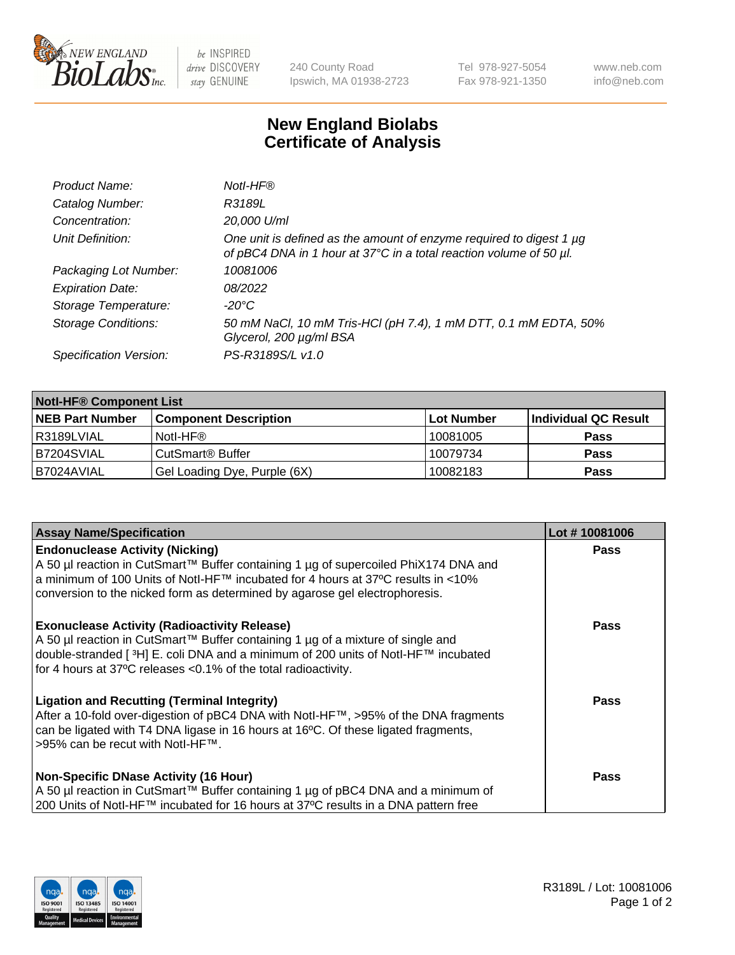

 $be$  INSPIRED drive DISCOVERY stay GENUINE

240 County Road Ipswich, MA 01938-2723 Tel 978-927-5054 Fax 978-921-1350 www.neb.com info@neb.com

## **New England Biolabs Certificate of Analysis**

| Product Name:              | Notl-HF®                                                                                                                                  |
|----------------------------|-------------------------------------------------------------------------------------------------------------------------------------------|
| Catalog Number:            | R3189L                                                                                                                                    |
| Concentration:             | 20,000 U/ml                                                                                                                               |
| Unit Definition:           | One unit is defined as the amount of enzyme required to digest 1 µg<br>of pBC4 DNA in 1 hour at 37°C in a total reaction volume of 50 µl. |
| Packaging Lot Number:      | 10081006                                                                                                                                  |
| <b>Expiration Date:</b>    | 08/2022                                                                                                                                   |
| Storage Temperature:       | $-20^{\circ}$ C                                                                                                                           |
| <b>Storage Conditions:</b> | 50 mM NaCl, 10 mM Tris-HCl (pH 7.4), 1 mM DTT, 0.1 mM EDTA, 50%<br>Glycerol, 200 µg/ml BSA                                                |
| Specification Version:     | PS-R3189S/L v1.0                                                                                                                          |

| <b>Notl-HF® Component List</b> |                              |            |                      |  |  |
|--------------------------------|------------------------------|------------|----------------------|--|--|
| <b>NEB Part Number</b>         | <b>Component Description</b> | Lot Number | Individual QC Result |  |  |
| R3189LVIAL                     | Notl-HF®                     | 10081005   | <b>Pass</b>          |  |  |
| B7204SVIAL                     | CutSmart <sup>®</sup> Buffer | 10079734   | <b>Pass</b>          |  |  |
| B7024AVIAL                     | Gel Loading Dye, Purple (6X) | 10082183   | <b>Pass</b>          |  |  |

| <b>Assay Name/Specification</b>                                                                                                                                                                                                                                                                 | Lot #10081006 |
|-------------------------------------------------------------------------------------------------------------------------------------------------------------------------------------------------------------------------------------------------------------------------------------------------|---------------|
| <b>Endonuclease Activity (Nicking)</b><br>A 50 µl reaction in CutSmart™ Buffer containing 1 µg of supercoiled PhiX174 DNA and                                                                                                                                                                   | <b>Pass</b>   |
| a minimum of 100 Units of Notl-HF™ incubated for 4 hours at 37°C results in <10%<br>conversion to the nicked form as determined by agarose gel electrophoresis.                                                                                                                                 |               |
| <b>Exonuclease Activity (Radioactivity Release)</b><br>A 50 µl reaction in CutSmart™ Buffer containing 1 µg of a mixture of single and<br> double-stranded [3H] E. coli DNA and a minimum of 200 units of Notl-HF™ incubated<br>for 4 hours at 37°C releases < 0.1% of the total radioactivity. | <b>Pass</b>   |
| <b>Ligation and Recutting (Terminal Integrity)</b><br>After a 10-fold over-digestion of pBC4 DNA with Notl-HF™, >95% of the DNA fragments<br>can be ligated with T4 DNA ligase in 16 hours at 16°C. Of these ligated fragments,<br>>95% can be recut with Notl-HF™.                             | <b>Pass</b>   |
| <b>Non-Specific DNase Activity (16 Hour)</b>                                                                                                                                                                                                                                                    | <b>Pass</b>   |
| A 50 µl reaction in CutSmart™ Buffer containing 1 µg of pBC4 DNA and a minimum of<br>200 Units of Notl-HF™ incubated for 16 hours at 37°C results in a DNA pattern free                                                                                                                         |               |